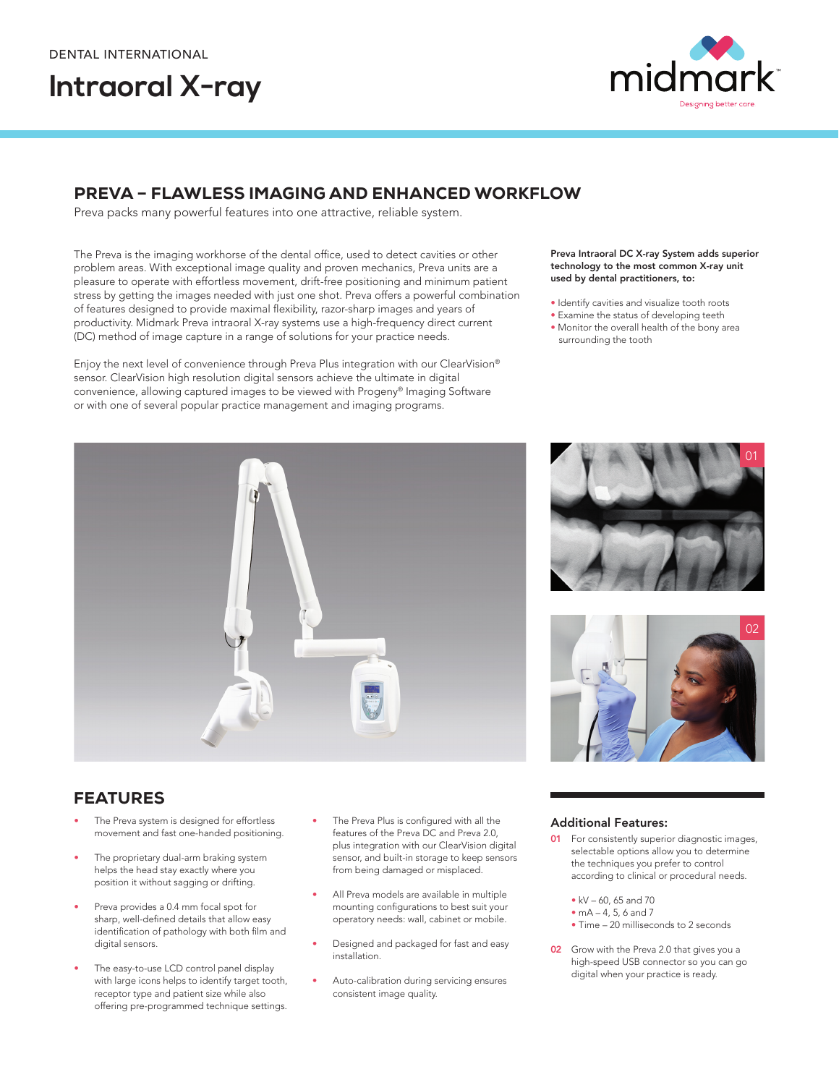# **Intraoral X-ray**



## PREVA – FLAWLESS IMAGING AND ENHANCED WORKFLOW

Preva packs many powerful features into one attractive, reliable system.

The Preva is the imaging workhorse of the dental office, used to detect cavities or other problem areas. With exceptional image quality and proven mechanics, Preva units are a pleasure to operate with effortless movement, drift-free positioning and minimum patient stress by getting the images needed with just one shot. Preva offers a powerful combination of features designed to provide maximal flexibility, razor-sharp images and years of productivity. Midmark Preva intraoral X-ray systems use a high-frequency direct current (DC) method of image capture in a range of solutions for your practice needs.

Enjoy the next level of convenience through Preva Plus integration with our ClearVision® sensor. ClearVision high resolution digital sensors achieve the ultimate in digital convenience, allowing captured images to be viewed with Progeny® Imaging Software or with one of several popular practice management and imaging programs.

#### Preva Intraoral DC X-ray System adds superior technology to the most common X-ray unit used by dental practitioners, to:

- Identify cavities and visualize tooth roots
- Examine the status of developing teeth
- Monitor the overall health of the bony area surrounding the tooth





01

## FEATURES

- The Preva system is designed for effortless movement and fast one-handed positioning.
- The proprietary dual-arm braking system helps the head stay exactly where you position it without sagging or drifting.
- Preva provides a 0.4 mm focal spot for sharp, well-defined details that allow easy identification of pathology with both film and digital sensors.
- The easy-to-use LCD control panel display with large icons helps to identify target tooth, receptor type and patient size while also offering pre-programmed technique settings.
- The Preva Plus is configured with all the features of the Preva DC and Preva 2.0, plus integration with our ClearVision digital sensor, and built-in storage to keep sensors from being damaged or misplaced.
- All Preva models are available in multiple mounting configurations to best suit your operatory needs: wall, cabinet or mobile.
- Designed and packaged for fast and easy installation.
- Auto-calibration during servicing ensures consistent image quality.

### Additional Features:

- **01** For consistently superior diagnostic images, selectable options allow you to determine the techniques you prefer to control according to clinical or procedural needs.
	- kV 60, 65 and 70
	- $mA 4, 5, 6, and 7$
	- Time 20 milliseconds to 2 seconds
- 02 Grow with the Preva 2.0 that gives you a high-speed USB connector so you can go digital when your practice is ready.